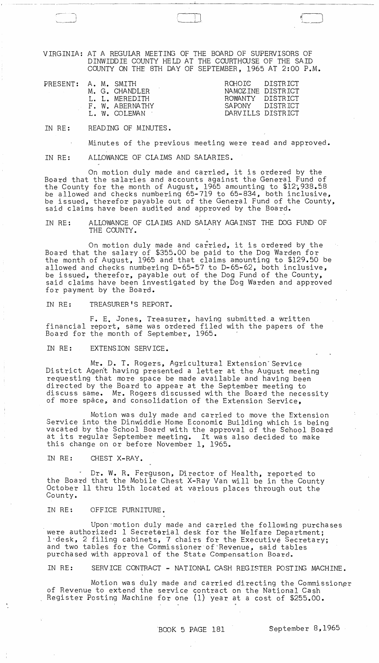VIRGINIA: AT A REGULAR MEETIN3 OF THE BOARD OF SUPERVISORS OF DINWIDDIE COUNTY HELD AT THE COURTHOUSE OF THE SAID COUNTY ON THE 8TH DAY OF SEPTEMBER, 1965 AT 2:00 P.M.

----- ---- -------------------~-~~--------------------

 $\qquad \qquad \Box$ 

| PRESENT: A.M. SMITH |                                   | ROHOTC DISTRICT                       |  |
|---------------------|-----------------------------------|---------------------------------------|--|
|                     | M. G. CHANDLER                    | NAMOZINE DISTRICT<br>ROWANTY DISTRICT |  |
|                     | L. L. MEREDITH<br>F. W. ABERNATHY | SAPONY DISTRICT                       |  |
|                     | L. W. COLEMAN                     | DARVILLS DISTRICT                     |  |
|                     |                                   |                                       |  |

IN RE: READING OF MINUTES.

,,---- 'I ~\_----.-J

Minutes of the previous meeting were read and approved.

IN RE: ALLOWANCE OF CLAIMS AND SALARIES.

On motion duly made and carried, it is ordered by the Board that the salaries and accounts against the General Fund of the County for the month of August, 1965 amounting to \$12~938.58 be allowed and checks numbering 65-719 to 65-834, both inclusive, be issued, therefor payable out of the General Fund of the County, said claims have been audited and approved by the Board.

IN RE: ALLOWANCE OF CLAIMS AND SALARY AGAINST THE DOG FUND OF THE COUNTY.

On motion duly made and carried, it is ordered by the Board that the salary of \$355.00 be paid to the Dog Warden for the month of August, 1965 and that claims amounting to \$129.50 be allowed and checks numbering D-65-57 to D-65-62, both inclusive, be issued, therefor, payable out of the Dog Fund of the County, said claims have been investigated by the Dog Warden and approved for payment by the Board.

IN RE: TREASURER'S REPORT.

F. E. Jones, Treasurer, having submitted, a written financial report, same was ordered filed with the papers of the Board for the month of September, 1965.

IN RE: EXTENSION SERVICE.

Mr. D. T. Rogers, Agricultural Extension" Service District Agent having presented a letter at the August meeting requesting that more space be made available and having been directed by the Board to appear at the September meeting to discuss same. Mr. Rogers discussed with the Board the necessity of more space, and consolidation of the Extension Service,

Motion was duly made and carried to move the Extension Service into the Dinwiddie Home Economic Building which is being vacated by the School Board with the approval of the Sohool Board at its regular September meeting. It was also decided to make this change on or before November 1, 1965.

IN RE: CHEST X-RAY.

Dr. W. R. Ferguson, Director of Health, reported to the Board that the Mobile Chest X-Ray Van will be in the County October 11 thru 15th located at various places through out the County.

## IN RE: OFFICE FURNITURE.

Upon-motion duly made and carried the following purchases were authorized: 1 Secretarial desk for the Welfare Department; l'desk, 2 filing cabinets, 7 chairs for the Executive Secretary; and two tables for the Commissioner of Revenue, said tables purchased with approval of the State Compensation Board.

IN RE: SERVICE CONTRACT - NATIONAL CASH REGISTER POSTING MACHINE.

Motion was duly made and carried directing the Commissioner of Revenue to extend the service contract on the National Cash Register Posting Machine for one  $(1)$  year at a cost of \$255.00.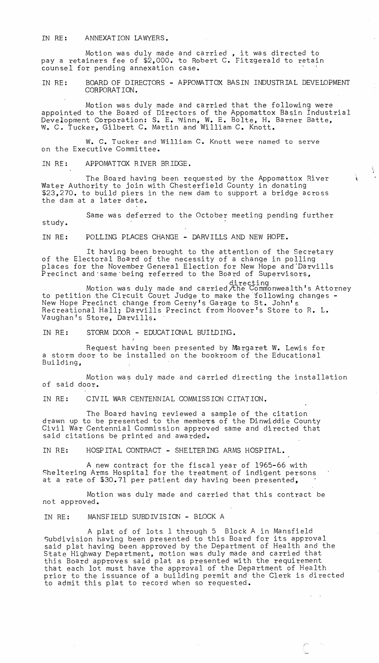IN RE: ANNEXATION LAWYERS.

Motion was duly made and carried, it was directed to pay a retainers fee of \$2,000. to Robert C. Fitzgerald to retain counsel for pending annexation case.

IN RE: BOARD OF DIRECTORS - APPOMATTOX BASIN INDUSTRIAL DEVELOPMENT CORPORATION.

Motion was duly made and carried that the following were appointed to the Board of Directors of the Appomattox Basin Industrial Development Corporation: S. E. Winn, W. E. Bolte, H. Barner Batte, W. C. Tucker, Gilbert C. Martin and William C. Knott.

 $\mathcal{E}_{\mathcal{E}_{\mathcal{E}}}$ 

W. C. Tucker and William C. Knott were named to serve on the Executive Committee.

IN RE: APPOMATTOX RIVER BRIDGE.

The Board having been requested by the Appomattox River (where the Water Authority to join with Chesterfield County in donating \$23,270. to build piers in the new dam to support a bridge across the dam at a later date.

Same was deferred to the October meeting pending further study.

IN RE: POLLING PLACES CHANGE - DARVILLS AND NEW HOPE.

It having been brought to the attention of the Secretary of the Electoral Board of the necessity of a change in polling places for the November General Election for New Hope and"Darvills Precinct and same being referred to the Board of Supervisors,

directing<br>Motion was duly made and carried/the Commonwealth's Attorney to petition the Circuit Court Judge to make the following changes - New Hope Precinct change from Cerny's Garage to St. John's Recreational Hall; Darvills Precinct from Hoover's Store to R. L. Vaughan's Store, Darvills.

IN RE: STORM DOOR - EDUCATIONAL BUILDING.

Request having been presented by Margaret W. Lewis for a storm door to be installed on the bookroom of the Educational Building,

Motion was duly made and carried directing the installation of said door. .

IN RE: CIVIL WAR CENTENNIAL COMMISSION CITATION.

The Board having reviewed a sample of the citation drawn up to be presented to the members of the Dinwiddie County Civil War Centennial Commission approved same and directed that said citations be printed and awarded.

IN RE: HOSPITAL CONTRACT - SHELTERING ARMS HOSPITAL.

A new contract for the fiscal year of 1965-66 with Sheltering Arms Hospital for the treatment of indigent persons at a rate of \$30.71 per patient day having been presented,

Motion was duly made and carried that this contract be not approved.

IN RE: MANSFIELD SUBDIVISION - BLOCK A

A plat of of lots 1 through 5 Block A in Mansfield Subdivision having been presented to this Board for its approval said plat having been approved by the Department of Health and the State Highway Department, motion was duly made and carried that this Board approves said plat as presented with the requirement that each lot must have the approval of the Department of Health prior to the issuance of a building permit and the Clerk is directed to admit this plat to record when so requested.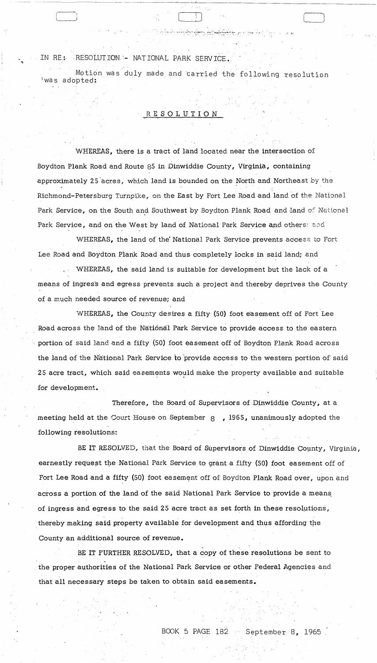IN RE: RESOLUTION - NATIONAL PARK SERVICE. Motion was duly made and carried the following resolution was adopted:

## RESOLUTION

WHEREAS, there is a tract of land located near the intersection of Boydton Plank Road and Route 85 in Dinwiddie County, Virginia, containing approximately 25 acres, which land is bounded on the North and Northeast by the Richmond-Petersburg Turnpike, on the East by Fort Lee Road and land of the National Park Service, on the South and Southwest by Boydton Plank Road and land of National Park Service, and on the West by land of National Park Service and others; and

WHEREAS, the land of the National Park Service prevents access to Fort Lee Road and Boydton Plank Road and thus completely locks in said land; and

WHEREAS, the said land is suitable for development but the lack of a means of ingress and egress prevents such a project and thereby deprives the County of a much needed source of revenue; and

WHEREAS, the County desires a fifty (50) foot easement off of Fort Lee Road across the land of the National Park Service to provide access to the eastern portion of said land and a fifty (50) foot easement off of Boydton Plank Road across the land of the National Park Service to provide access to the western portion of said 25 acre tract, which said easements would make the property available and suitable for development.

Therefore, the Board of Supervisors of Dinwiddie County, at a meeting held at the Court House on September  $\beta$ , 1965, unanimously adopted the following resolutions:

BE IT RESOLVED, that the Board of Supervisors of Dinwiddie County, Virginia, earnestly request the National Park Service to grant a fifty (50) foot easement off of Fort Lee Road and a fifty (50) foot easement off of Boydton Plank Road over, upon and across a portion of the land of the said National Park Service to provide a means of ingress and egress to the said 25 acre tract as set forth in these resolutions, thereby making said property available for development and thus affording the County an additional source of revenue.

BE IT FURTHER RESOLVED, that a copy of these resolutions be sent to the proper authorities of the National Park Service or other Federal Agencies and that all necessary steps be taken to obtain said easements.